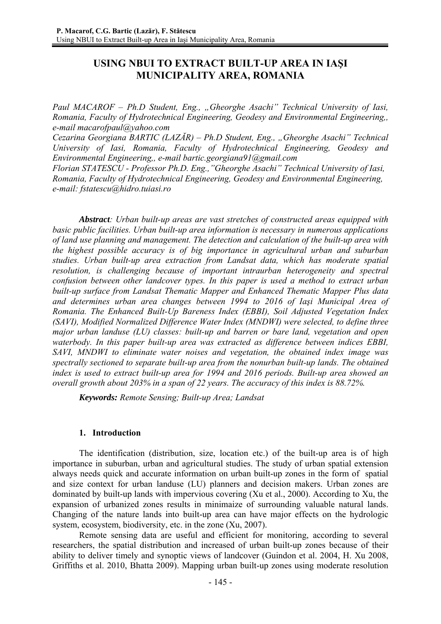# **USING NBUI TO EXTRACT BUILT-UP AREA IN IAŞI MUNICIPALITY AREA, ROMANIA**

*Paul MACAROF – Ph.D Student, Eng., "Gheorghe Asachi" Technical University of Iasi, Romania, Faculty of Hydrotechnical Engineering, Geodesy and Environmental Engineering,, e-mail macarofpaul@yahoo.com*

*Cezarina Georgiana BARTIC (LAZĂR) – Ph.D Student, Eng., "Gheorghe Asachi" Technical University of Iasi, Romania, Faculty of Hydrotechnical Engineering, Geodesy and Environmental Engineering,, e-mail bartic.georgiana91@gmail.com* 

*Florian STATESCU - Professor Ph.D. Eng.,"Gheorghe Asachi" Technical University of Iasi, Romania, Faculty of Hydrotechnical Engineering, Geodesy and Environmental Engineering, e-mail: fstatescu@hidro.tuiasi.ro* 

*Abstract: Urban built-up areas are vast stretches of constructed areas equipped with basic public facilities. Urban built-up area information is necessary in numerous applications of land use planning and management. The detection and calculation of the built-up area with the highest possible accuracy is of big importance in agricultural urban and suburban studies. Urban built-up area extraction from Landsat data, which has moderate spatial resolution, is challenging because of important intraurban heterogeneity and spectral confusion between other landcover types. In this paper is used a method to extract urban built-up surface from Landsat Thematic Mapper and Enhanced Thematic Mapper Plus data and determines urban area changes between 1994 to 2016 of Iaşi Municipal Area of Romania. The Enhanced Built-Up Bareness Index (EBBI), Soil Adjusted Vegetation Index (SAVI), Modified Normalized Difference Water Index (MNDWI) were selected, to define three major urban landuse (LU) classes: built-up and barren or bare land, vegetation and open waterbody. In this paper built-up area was extracted as difference between indices EBBI, SAVI, MNDWI to eliminate water noises and vegetation, the obtained index image was spectrally sectioned to separate built-up area from the nonurban built-up lands. The obtained index is used to extract built-up area for 1994 and 2016 periods. Built-up area showed an overall growth about 203% in a span of 22 years. The accuracy of this index is 88.72%.*

*Keywords: Remote Sensing; Built-up Area; Landsat*

### **1. Introduction**

The identification (distribution, size, location etc.) of the built-up area is of high importance in suburban, urban and agricultural studies. The study of urban spatial extension always needs quick and accurate information on urban built-up zones in the form of spatial and size context for urban landuse (LU) planners and decision makers. Urban zones are dominated by built-up lands with impervious covering (Xu et al., 2000). According to Xu, the expansion of urbanized zones results in minimaize of surrounding valuable natural lands. Changing of the nature lands into built-up area can have major effects on the hydrologic system, ecosystem, biodiversity, etc. in the zone (Xu, 2007).

Remote sensing data are useful and efficient for monitoring, according to several researchers, the spatial distribution and increased of urban built-up zones because of their ability to deliver timely and synoptic views of landcover (Guindon et al. 2004, H. Xu 2008, Griffiths et al. 2010, Bhatta 2009). Mapping urban built-up zones using moderate resolution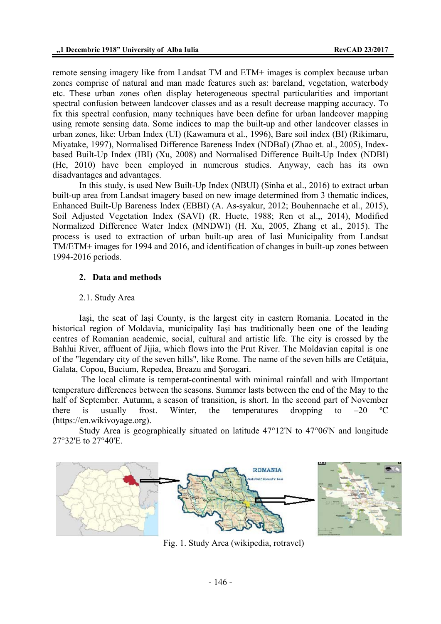remote sensing imagery like from Landsat TM and ETM+ images is complex because urban zones comprise of natural and man made features such as: bareland, vegetation, waterbody etc. These urban zones often display heterogeneous spectral particularities and important spectral confusion between landcover classes and as a result decrease mapping accuracy. To fix this spectral confusion, many techniques have been define for urban landcover mapping using remote sensing data. Some indices to map the built-up and other landcover classes in urban zones, like: Urban Index (UI) (Kawamura et al., 1996), Bare soil index (BI) (Rikimaru, Miyatake, 1997), Normalised Difference Bareness Index (NDBaI) (Zhao et. al., 2005), Indexbased Built-Up Index (IBI) (Xu, 2008) and Normalised Difference Built-Up Index (NDBI) (He, 2010) have been employed in numerous studies. Anyway, each has its own disadvantages and advantages.

In this study, is used New Built-Up Index (NBUI) (Sinha et al., 2016) to extract urban built-up area from Landsat imagery based on new image determined from 3 thematic indices, Enhanced Built-Up Bareness Index (EBBI) (A. As-syakur, 2012; Bouhennache et al., 2015), Soil Adjusted Vegetation Index (SAVI) (R. Huete, 1988; Ren et al.,, 2014), Modified Normalized Difference Water Index (MNDWI) (H. Xu, 2005, Zhang et al., 2015). The process is used to extraction of urban built-up area of Iasi Municipality from Landsat TM/ETM+ images for 1994 and 2016, and identification of changes in built-up zones between 1994-2016 periods.

## **2. Data and methods**

### 2.1. Study Area

Iași, the seat of Iași County, is the largest city in eastern Romania. Located in the historical region of Moldavia, municipality Iași has traditionally been one of the leading centres of Romanian academic, social, cultural and artistic life. The city is crossed by the Bahlui River, affluent of Jijia, which flows into the Prut River. The Moldavian capital is one of the "legendary city of the seven hills", like Rome. The name of the seven hills are Cetățuia, Galata, Copou, Bucium, Repedea, Breazu and Șorogari.

 The local climate is temperat-continental with minimal rainfall and with lImportant temperature differences between the seasons. Summer lasts between the end of the May to the half of September. Autumn, a season of transition, is short. In the second part of November there is usually frost. Winter, the temperatures dropping to  $-20$  °C (https://en.wikivoyage.org).

Study Area is geographically situated on latitude 47°12'N to 47°06'N and longitude 27°32'E to 27°40'E.



Fig. 1. Study Area (wikipedia, rotravel)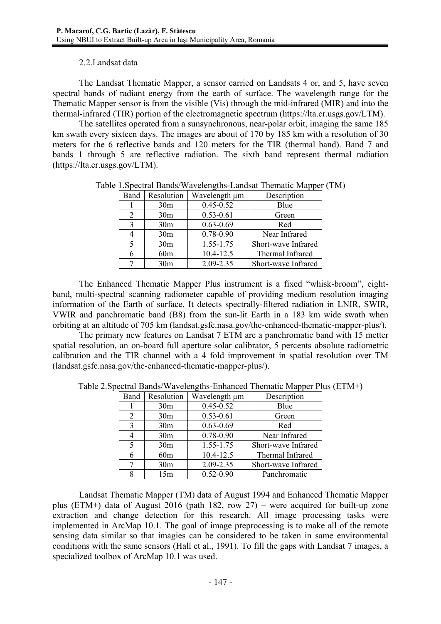## 2.2.Landsat data

The Landsat Thematic Mapper, a sensor carried on Landsats 4 or, and 5, have seven spectral bands of radiant energy from the earth of surface. The wavelength range for the Thematic Mapper sensor is from the visible (Vis) through the mid-infrared (MIR) and into the thermal-infrared (TIR) portion of the electromagnetic spectrum (https://lta.cr.usgs.gov/LTM).

The satellites operated from a sunsynchronous, near-polar orbit, imaging the same 185 km swath every sixteen days. The images are about of 170 by 185 km with a resolution of 30 meters for the 6 reflective bands and 120 meters for the TIR (thermal band). Band 7 and bands 1 through 5 are reflective radiation. The sixth band represent thermal radiation (https://lta.cr.usgs.gov/LTM).

| Band           | Resolution      | Wavelength µm | Description         |
|----------------|-----------------|---------------|---------------------|
|                | 30 <sub>m</sub> | $0.45 - 0.52$ | Blue                |
| $\overline{2}$ | 30 <sub>m</sub> | $0.53 - 0.61$ | Green               |
| 3              | 30 <sub>m</sub> | $0.63 - 0.69$ | Red                 |
| 4              | 30 <sub>m</sub> | 0.78-0.90     | Near Infrared       |
| 5              | 30 <sub>m</sub> | 1.55-1.75     | Short-wave Infrared |
| 6              | 60 <sub>m</sub> | 10.4-12.5     | Thermal Infrared    |
|                | 30 <sub>m</sub> | 2.09-2.35     | Short-wave Infrared |

Table 1.Spectral Bands/Wavelengths-Landsat Thematic Mapper (TM)

The Enhanced Thematic Mapper Plus instrument is a fixed "whisk-broom", eightband, multi-spectral scanning radiometer capable of providing medium resolution imaging information of the Earth of surface. It detects spectrally-filtered radiation in LNIR, SWIR, VWIR and panchromatic band (B8) from the sun-lit Earth in a 183 km wide swath when orbiting at an altitude of 705 km (landsat.gsfc.nasa.gov/the-enhanced-thematic-mapper-plus/).

The primary new features on Landsat 7 ETM are a panchromatic band with 15 metter spatial resolution, an on-board full aperture solar calibrator, 5 percents absolute radiometric calibration and the TIR channel with a 4 fold improvement in spatial resolution over TM (landsat.gsfc.nasa.gov/the-enhanced-thematic-mapper-plus/).

| Band | Resolution      | Wavelength µm | Description         |
|------|-----------------|---------------|---------------------|
|      | 30 <sub>m</sub> | $0.45 - 0.52$ | Blue                |
| 2    | 30 <sub>m</sub> | $0.53 - 0.61$ | Green               |
| 3    | 30 <sub>m</sub> | $0.63 - 0.69$ | Red                 |
|      | 30 <sub>m</sub> | 0.78-0.90     | Near Infrared       |
| 5    | 30 <sub>m</sub> | 1.55-1.75     | Short-wave Infrared |
| 6    | 60m             | 10.4-12.5     | Thermal Infrared    |
|      | 30 <sub>m</sub> | 2.09-2.35     | Short-wave Infrared |
|      | 15m             | $0.52 - 0.90$ | Panchromatic        |

Table 2.Spectral Bands/Wavelengths-Enhanced Thematic Mapper Plus (ETM+)

Landsat Thematic Mapper (TM) data of August 1994 and Enhanced Thematic Mapper plus (ETM+) data of August 2016 (path 182, row 27) – were acquired for built-up zone extraction and change detection for this research. All image processing tasks were implemented in ArcMap 10.1. The goal of image preprocessing is to make all of the remote sensing data similar so that imagies can be considered to be taken in same environmental conditions with the same sensors (Hall et al., 1991). To fill the gaps with Landsat 7 images, a specialized toolbox of ArcMap 10.1 was used.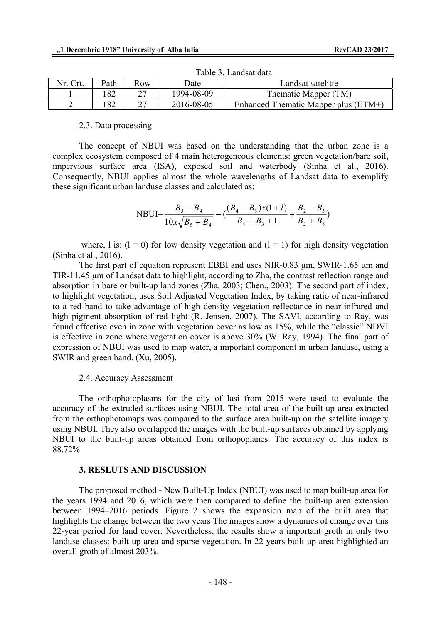| Nr. Crt. | Path | Row | Jate       | Landsat satelitte                    |  |  |
|----------|------|-----|------------|--------------------------------------|--|--|
|          |      |     | 1994-08-09 | Thematic Mapper (TM)                 |  |  |
|          |      |     | 2016-08-05 | Enhanced Thematic Mapper plus (ETM+) |  |  |

Table 3. Landsat data

#### 2.3. Data processing

The concept of NBUI was based on the understanding that the urban zone is a complex ecosystem composed of 4 main heterogeneous elements: green vegetation/bare soil, impervious surface area (ISA), exposed soil and waterbody (Sinha et al., 2016). Consequently, NBUI applies almost the whole wavelengths of Landsat data to exemplify these significant urban landuse classes and calculated as:

$$
\text{NBUI} = \frac{B_5 - B_4}{10x\sqrt{B_5 + B_4}} - \left(\frac{(B_4 - B_3)x(1 + l)}{B_4 + B_3 + 1} + \frac{B_2 - B_5}{B_2 + B_5}\right)
$$

where, l is:  $(l = 0)$  for low density vegetation and  $(l = 1)$  for high density vegetation (Sinha et al., 2016).

The first part of equation represent EBBI and uses NIR-0.83 μm, SWIR-1.65 μm and TIR-11.45 μm of Landsat data to highlight, according to Zha, the contrast reflection range and absorption in bare or built-up land zones (Zha, 2003; Chen., 2003). The second part of index, to highlight vegetation, uses Soil Adjusted Vegetation Index, by taking ratio of near-infrared to a red band to take advantage of high density vegetation reflectance in near-infrared and high pigment absorption of red light (R. Jensen, 2007). The SAVI, according to Ray, was found effective even in zone with vegetation cover as low as 15%, while the "classic" NDVI is effective in zone where vegetation cover is above 30% (W. Ray, 1994). The final part of expression of NBUI was used to map water, a important component in urban landuse, using a SWIR and green band. (Xu, 2005).

#### 2.4. Accuracy Assessment

The orthophotoplasms for the city of Iasi from 2015 were used to evaluate the accuracy of the extruded surfaces using NBUI. The total area of the built-up area extracted from the orthophotomaps was compared to the surface area built-up on the satellite imagery using NBUI. They also overlapped the images with the built-up surfaces obtained by applying NBUI to the built-up areas obtained from orthopoplanes. The accuracy of this index is 88.72%

#### **3. RESLUTS AND DISCUSSION**

The proposed method - New Built-Up Index (NBUI) was used to map built-up area for the years 1994 and 2016, which were then compared to define the built-up area extension between 1994–2016 periods. Figure 2 shows the expansion map of the built area that highlights the change between the two years The images show a dynamics of change over this 22-year period for land cover. Nevertheless, the results show a important groth in only two landuse classes: built-up area and sparse vegetation. In 22 years built-up area highlighted an overall groth of almost 203%.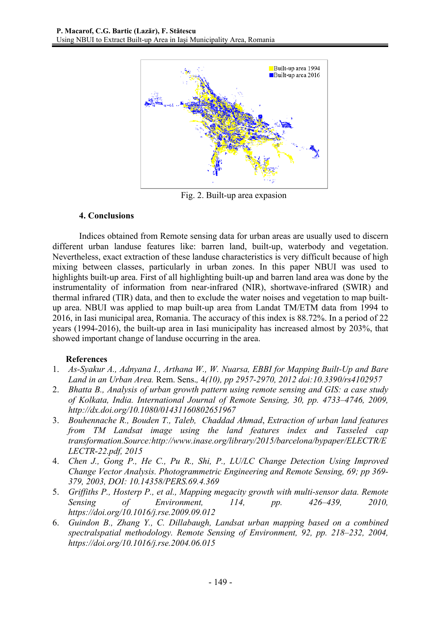

Fig. 2. Built-up area expasion

## **4. Conclusions**

Indices obtained from Remote sensing data for urban areas are usually used to discern different urban landuse features like: barren land, built-up, waterbody and vegetation. Nevertheless, exact extraction of these landuse characteristics is very difficult because of high mixing between classes, particularly in urban zones. In this paper NBUI was used to highlights built-up area. First of all highlighting built-up and barren land area was done by the instrumentality of information from near-infrared (NIR), shortwave-infrared (SWIR) and thermal infrared (TIR) data, and then to exclude the water noises and vegetation to map builtup area. NBUI was applied to map built-up area from Landat TM/ETM data from 1994 to 2016, in Iasi municipal area, Romania. The accuracy of this index is 88.72%. In a period of 22 years (1994-2016), the built-up area in Iasi municipality has increased almost by 203%, that showed important change of landuse occurring in the area.

# **References**

- 1. *As-Syakur A., Adnyana I., Arthana W., W. Nuarsa, EBBI for Mapping Built-Up and Bare Land in an Urban Area.* Rem. Sens.*,* 4*(10), pp 2957-2970, 2012 doi:10.3390/rs4102957*
- 2. *Bhatta B., Analysis of urban growth pattern using remote sensing and GIS: a case study of Kolkata, India. International Journal of Remote Sensing, 30, pp. 4733–4746, 2009, http://dx.doi.org/10.1080/01431160802651967*
- 3. *Bouhennache R., Bouden T., Taleb, Chaddad Ahmad*, *Extraction of urban land features from TM Landsat image using the land features index and Tasseled cap transformation.Source:http://www.inase.org/library/2015/barcelona/bypaper/ELECTR/E LECTR-22.pdf, 2015*
- 4. *Chen J., Gong P., He C., Pu R., Shi, P., LU/LC Change Detection Using Improved Change Vector Analysis. Photogrammetric Engineering and Remote Sensing, 69; pp 369- 379, 2003, DOI: 10.14358/PERS.69.4.369*
- 5. *Griffiths P., Hosterp P., et al., Mapping megacity growth with multi-sensor data. Remote Sensing of Environment, 114, pp. 426–439, 2010, https://doi.org/10.1016/j.rse.2009.09.012*
- 6. *Guindon B., Zhang Y., C. Dillabaugh, Landsat urban mapping based on a combined spectralspatial methodology. Remote Sensing of Environment, 92, pp. 218–232, 2004, https://doi.org/10.1016/j.rse.2004.06.015*